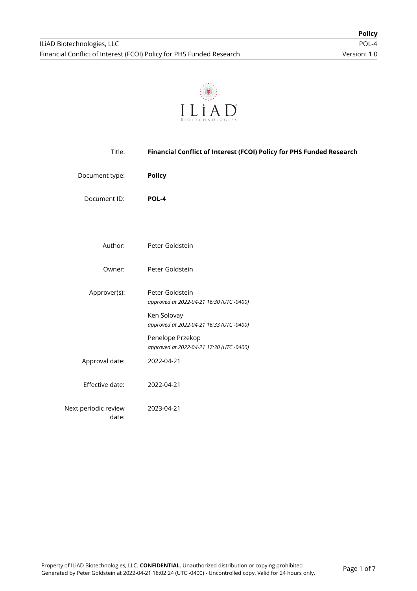

| Title:                        | Financial Conflict of Interest (FCOI) Policy for PHS Funded Research |
|-------------------------------|----------------------------------------------------------------------|
| Document type:                | <b>Policy</b>                                                        |
| Document ID:                  | POL-4                                                                |
|                               |                                                                      |
| Author:                       | Peter Goldstein                                                      |
| Owner:                        | Peter Goldstein                                                      |
| Approver(s):                  | Peter Goldstein<br>approved at 2022-04-21 16:30 (UTC -0400)          |
|                               | Ken Solovay<br>approved at 2022-04-21 16:33 (UTC -0400)              |
|                               | Penelope Przekop<br>approved at 2022-04-21 17:30 (UTC -0400)         |
| Approval date:                | 2022-04-21                                                           |
| Effective date:               | 2022-04-21                                                           |
| Next periodic review<br>date: | 2023-04-21                                                           |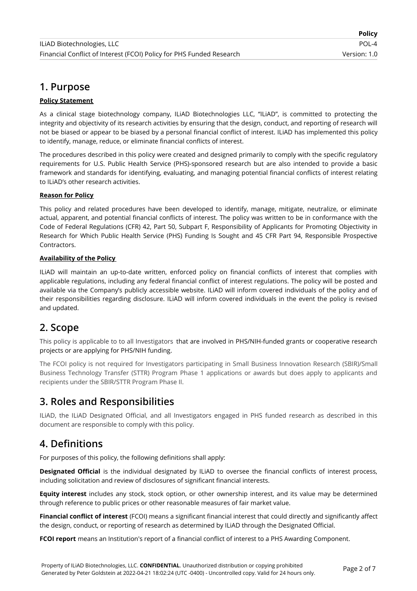# **1. Purpose**

### **Policy Statement**

As a clinical stage biotechnology company, ILiAD Biotechnologies LLC, "ILiAD", is committed to protecting the integrity and objectivity of its research activities by ensuring that the design, conduct, and reporting of research will not be biased or appear to be biased by a personal financial conflict of interest. ILiAD has implemented this policy to identify, manage, reduce, or eliminate financial conflicts of interest.

The procedures described in this policy were created and designed primarily to comply with the specific regulatory requirements for U.S. Public Health Service (PHS)-sponsored research but are also intended to provide a basic framework and standards for identifying, evaluating, and managing potential financial conflicts of interest relating to ILiAD's other research activities.

### **Reason for Policy**

This policy and related procedures have been developed to identify, manage, mitigate, neutralize, or eliminate actual, apparent, and potential financial conflicts of interest. The policy was written to be in conformance with the Code of Federal Regulations (CFR) 42, Part 50, Subpart F, Responsibility of Applicants for Promoting Objectivity in Research for Which Public Health Service (PHS) Funding Is Sought and 45 CFR Part 94, Responsible Prospective Contractors.

### **Availability of the Policy**

ILiAD will maintain an up-to-date written, enforced policy on financial conflicts of interest that complies with applicable regulations, including any federal financial conflict of interest regulations. The policy will be posted and available via the Company's publicly accessible website. ILiAD will inform covered individuals of the policy and of their responsibilities regarding disclosure. ILiAD will inform covered individuals in the event the policy is revised and updated.

## **2. Scope**

This policy is applicable to to all Investigators that are involved in PHS/NIH-funded grants or cooperative research projects or are applying for PHS/NIH funding.

The FCOI policy is not required for Investigators participating in Small Business Innovation Research (SBIR)/Small Business Technology Transfer (STTR) Program Phase 1 applications or awards but does apply to applicants and recipients under the SBIR/STTR Program Phase II.

# **3. Roles and Responsibilities**

ILiAD, the ILiAD Designated Official, and all Investigators engaged in PHS funded research as described in this document are responsible to comply with this policy.

## **4. Definitions**

For purposes of this policy, the following definitions shall apply:

**Designated Official** is the individual designated by ILiAD to oversee the financial conflicts of interest process, including solicitation and review of disclosures of significant financial interests.

**Equity interest** includes any stock, stock option, or other ownership interest, and its value may be determined through reference to public prices or other reasonable measures of fair market value.

**Financial conflict of interest** (FCOI) means a significant financial interest that could directly and significantly affect the design, conduct, or reporting of research as determined by ILiAD through the Designated Official.

**FCOI report** means an Institution's report of a financial conflict of interest to a PHS Awarding Component.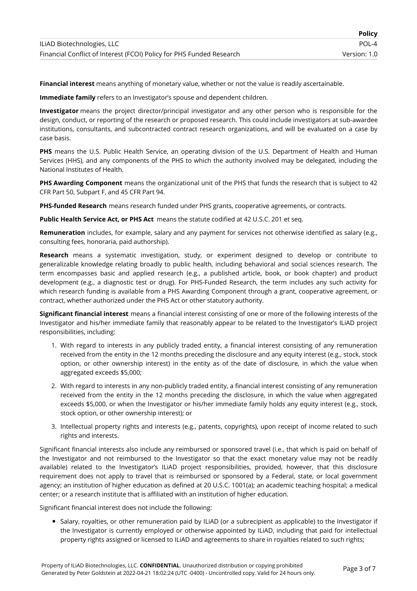**Financial interest** means anything of monetary value, whether or not the value is readily ascertainable.

**Immediate family** refers to an Investigator's spouse and dependent children.

**Investigator** means the project director/principal investigator and any other person who is responsible for the design, conduct, or reporting of the research or proposed research. This could include investigators at sub-awardee institutions, consultants, and subcontracted contract research organizations, and will be evaluated on a case by case basis.

**PHS** means the U.S. Public Health Service, an operating division of the U.S. Department of Health and Human Services (HHS), and any components of the PHS to which the authority involved may be delegated, including the National Institutes of Health.

**PHS Awarding Component** means the organizational unit of the PHS that funds the research that is subject to 42 CFR Part 50, Subpart F, and 45 CFR Part 94.

**PHS-funded Research** means research funded under PHS grants, cooperative agreements, or contracts.

**Public Health Service Act, or PHS Act** means the statute codified at 42 U.S.C. 201 et seq.

**Remuneration** includes, for example, salary and any payment for services not otherwise identified as salary (e.g., consulting fees, honoraria, paid authorship).

**Research** means a systematic investigation, study, or experiment designed to develop or contribute to generalizable knowledge relating broadly to public health, including behavioral and social sciences research. The term encompasses basic and applied research (e.g., a published article, book, or book chapter) and product development (e.g., a diagnostic test or drug). For PHS-Funded Research, the term includes any such activity for which research funding is available from a PHS Awarding Component through a grant, cooperative agreement, or contract, whether authorized under the PHS Act or other statutory authority.

**Significant financial interest** means a financial interest consisting of one or more of the following interests of the Investigator and his/her immediate family that reasonably appear to be related to the Investigator's ILiAD project responsibilities, including:

- 1. With regard to interests in any publicly traded entity, a financial interest consisting of any remuneration received from the entity in the 12 months preceding the disclosure and any equity interest (e.g., stock, stock option, or other ownership interest) in the entity as of the date of disclosure, in which the value when aggregated exceeds \$5,000;
- 2. With regard to interests in any non-publicly traded entity, a financial interest consisting of any remuneration received from the entity in the 12 months preceding the disclosure, in which the value when aggregated exceeds \$5,000, or when the Investigator or his/her immediate family holds any equity interest (e.g., stock, stock option, or other ownership interest); or
- 3. Intellectual property rights and interests (e.g., patents, copyrights), upon receipt of income related to such rights and interests.

Significant financial interests also include any reimbursed or sponsored travel (i.e., that which is paid on behalf of the Investigator and not reimbursed to the Investigator so that the exact monetary value may not be readily available) related to the Investigator's ILiAD project responsibilities, provided, however, that this disclosure requirement does not apply to travel that is reimbursed or sponsored by a Federal, state, or local government agency; an institution of higher education as defined at 20 U.S.C. 1001(a); an academic teaching hospital; a medical center; or a research institute that is affiliated with an institution of higher education.

Significant financial interest does not include the following:

Salary, royalties, or other remuneration paid by ILiAD (or a subrecipient as applicable) to the Investigator if the Investigator is currently employed or otherwise appointed by ILiAD, including that paid for intellectual property rights assigned or licensed to ILiAD and agreements to share in royalties related to such rights;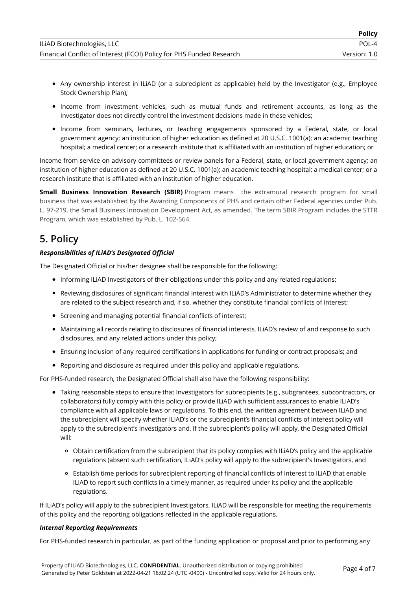- Any ownership interest in ILiAD (or a subrecipient as applicable) held by the Investigator (e.g., Employee Stock Ownership Plan);
- Income from investment vehicles, such as mutual funds and retirement accounts, as long as the Investigator does not directly control the investment decisions made in these vehicles;
- Income from seminars, lectures, or teaching engagements sponsored by a Federal, state, or local government agency; an institution of higher education as defined at 20 U.S.C. 1001(a); an academic teaching hospital; a medical center; or a research institute that is affiliated with an institution of higher education; or

Income from service on advisory committees or review panels for a Federal, state, or local government agency; an institution of higher education as defined at 20 U.S.C. 1001(a); an academic teaching hospital; a medical center; or a research institute that is affiliated with an institution of higher education.

**Small Business Innovation Research (SBIR)** Program means the extramural research program for small business that was established by the Awarding Components of PHS and certain other Federal agencies under Pub. L. 97-219, the Small Business Innovation Development Act, as amended. The term SBIR Program includes the STTR Program, which was established by Pub. L. 102-564.

# **5. Policy**

### *Responsibilities of ILiAD's Designated Official*

The Designated Official or his/her designee shall be responsible for the following:

- Informing ILIAD Investigators of their obligations under this policy and any related regulations;
- Reviewing disclosures of significant financial interest with ILiAD's Administrator to determine whether they are related to the subject research and, if so, whether they constitute financial conflicts of interest;
- Screening and managing potential financial conflicts of interest;
- Maintaining all records relating to disclosures of financial interests, ILiAD's review of and response to such disclosures, and any related actions under this policy;
- Ensuring inclusion of any required certifications in applications for funding or contract proposals; and
- Reporting and disclosure as required under this policy and applicable regulations.

For PHS-funded research, the Designated Official shall also have the following responsibility:

- Taking reasonable steps to ensure that Investigators for subrecipients (e.g., subgrantees, subcontractors, or collaborators) fully comply with this policy or provide ILiAD with sufficient assurances to enable ILiAD's compliance with all applicable laws or regulations. To this end, the written agreement between ILiAD and the subrecipient will specify whether ILiAD's or the subrecipient's financial conflicts of interest policy will apply to the subrecipient's Investigators and, if the subrecipient's policy will apply, the Designated Official will:
	- Obtain certification from the subrecipient that its policy complies with ILiAD's policy and the applicable regulations (absent such certification, ILiAD's policy will apply to the subrecipient's Investigators, and
	- Establish time periods for subrecipient reporting of financial conflicts of interest to ILiAD that enable ILiAD to report such conflicts in a timely manner, as required under its policy and the applicable regulations.

If ILiAD's policy will apply to the subrecipient Investigators, ILiAD will be responsible for meeting the requirements of this policy and the reporting obligations reflected in the applicable regulations.

#### *Internal Reporting Requirements*

For PHS-funded research in particular, as part of the funding application or proposal and prior to performing any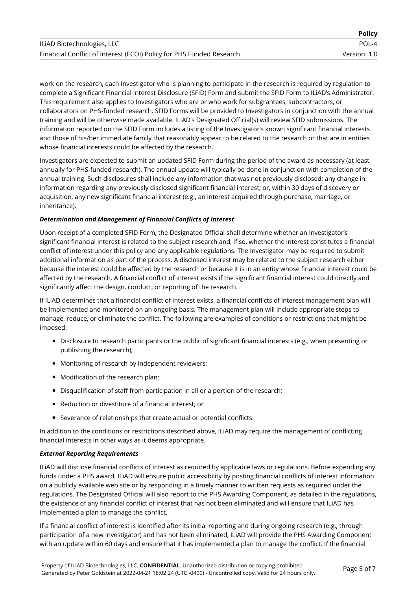|                                                                      | <b>Policy</b> |
|----------------------------------------------------------------------|---------------|
| ILIAD Biotechnologies, LLC                                           | $POI - 4$     |
| Financial Conflict of Interest (FCOI) Policy for PHS Funded Research | Version: 1.0  |

work on the research, each Investigator who is planning to participate in the research is required by regulation to complete a Significant Financial Interest Disclosure (SFID) Form and submit the SFID Form to ILiAD's Administrator. This requirement also applies to Investigators who are or who work for subgrantees, subcontractors, or collaborators on PHS-funded research. SFID Forms will be provided to Investigators in conjunction with the annual training and will be otherwise made available. ILiAD's Designated Official(s) will review SFID submissions. The information reported on the SFID Form includes a listing of the Investigator's known significant financial interests and those of his/her immediate family that reasonably appear to be related to the research or that are in entities whose financial interests could be affected by the research.

Investigators are expected to submit an updated SFID Form during the period of the award as necessary (at least annually for PHS-funded research). The annual update will typically be done in conjunction with completion of the annual training. Such disclosures shall include any information that was not previously disclosed; any change in information regarding any previously disclosed significant financial interest; or, within 30 days of discovery or acquisition, any new significant financial interest (e.g., an interest acquired through purchase, marriage, or inheritance).

#### *Determination and Management of Financial Conflicts of Interest*

Upon receipt of a completed SFID Form, the Designated Official shall determine whether an Investigator's significant financial interest is related to the subject research and, if so, whether the interest constitutes a financial conflict of interest under this policy and any applicable regulations. The Investigator may be required to submit additional information as part of the process. A disclosed interest may be related to the subject research either because the interest could be affected by the research or because it is in an entity whose financial interest could be affected by the research. A financial conflict of interest exists if the significant financial interest could directly and significantly affect the design, conduct, or reporting of the research.

If ILiAD determines that a financial conflict of interest exists, a financial conflicts of interest management plan will be implemented and monitored on an ongoing basis. The management plan will include appropriate steps to manage, reduce, or eliminate the conflict. The following are examples of conditions or restrictions that might be imposed:

- Disclosure to research participants or the public of significant financial interests (e.g., when presenting or publishing the research);
- Monitoring of research by independent reviewers;
- Modification of the research plan;
- Disqualification of staff from participation in all or a portion of the research;
- Reduction or divestiture of a financial interest; or
- Severance of relationships that create actual or potential conflicts.

In addition to the conditions or restrictions described above, ILiAD may require the management of conflicting financial interests in other ways as it deems appropriate.

#### *External Reporting Requirements*

ILiAD will disclose financial conflicts of interest as required by applicable laws or regulations. Before expending any funds under a PHS award, ILiAD will ensure public accessibility by posting financial conflicts of interest information on a publicly available web site or by responding in a timely manner to written requests as required under the regulations. The Designated Official will also report to the PHS Awarding Component, as detailed in the regulations, the existence of any financial conflict of interest that has not been eliminated and will ensure that ILiAD has implemented a plan to manage the conflict.

If a financial conflict of interest is identified after its initial reporting and during ongoing research (e.g., through participation of a new Investigator) and has not been eliminated, ILiAD will provide the PHS Awarding Component with an update within 60 days and ensure that it has implemented a plan to manage the conflict. If the financial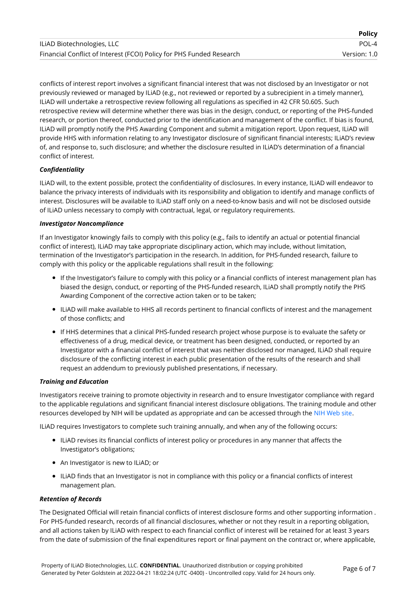|                                                                      | <b>Policy</b> |
|----------------------------------------------------------------------|---------------|
| ILIAD Biotechnologies, LLC                                           | POL-4         |
| Financial Conflict of Interest (FCOI) Policy for PHS Funded Research | Version: 1.0  |

conflicts of interest report involves a significant financial interest that was not disclosed by an Investigator or not previously reviewed or managed by ILiAD (e.g., not reviewed or reported by a subrecipient in a timely manner), ILiAD will undertake a retrospective review following all regulations as specified in 42 CFR 50.605. Such retrospective review will determine whether there was bias in the design, conduct, or reporting of the PHS-funded research, or portion thereof, conducted prior to the identification and management of the conflict. If bias is found, ILiAD will promptly notify the PHS Awarding Component and submit a mitigation report. Upon request, ILiAD will provide HHS with information relating to any Investigator disclosure of significant financial interests; ILiAD's review of, and response to, such disclosure; and whether the disclosure resulted in ILiAD's determination of a financial conflict of interest.

#### *Confidentiality*

ILiAD will, to the extent possible, protect the confidentiality of disclosures. In every instance, ILiAD will endeavor to balance the privacy interests of individuals with its responsibility and obligation to identify and manage conflicts of interest. Disclosures will be available to ILiAD staff only on a need-to-know basis and will not be disclosed outside of ILiAD unless necessary to comply with contractual, legal, or regulatory requirements.

#### *Investigator Noncompliance*

If an Investigator knowingly fails to comply with this policy (e.g., fails to identify an actual or potential financial conflict of interest), ILiAD may take appropriate disciplinary action, which may include, without limitation, termination of the Investigator's participation in the research. In addition, for PHS-funded research, failure to comply with this policy or the applicable regulations shall result in the following:

- If the Investigator's failure to comply with this policy or a financial conflicts of interest management plan has biased the design, conduct, or reporting of the PHS-funded research, ILiAD shall promptly notify the PHS Awarding Component of the corrective action taken or to be taken;
- ILiAD will make available to HHS all records pertinent to financial conflicts of interest and the management of those conflicts; and
- If HHS determines that a clinical PHS-funded research project whose purpose is to evaluate the safety or effectiveness of a drug, medical device, or treatment has been designed, conducted, or reported by an Investigator with a financial conflict of interest that was neither disclosed nor managed, ILiAD shall require disclosure of the conflicting interest in each public presentation of the results of the research and shall request an addendum to previously published presentations, if necessary.

#### *Training and Education*

Investigators receive training to promote objectivity in research and to ensure Investigator compliance with regard to the applicable regulations and significant financial interest disclosure obligations. The training module and other resources developed by NIH will be updated as appropriate and can be accessed through the NIH [Web](http://grants.nih.gov/grants/policy/coi/tutorial2011/fcoi.htm) site.

ILiAD requires Investigators to complete such training annually, and when any of the following occurs:

- ILiAD revises its financial conflicts of interest policy or procedures in any manner that affects the Investigator's obligations;
- An Investigator is new to ILiAD; or
- ILiAD finds that an Investigator is not in compliance with this policy or a financial conflicts of interest management plan.

#### *Retention of Records*

The Designated Official will retain financial conflicts of interest disclosure forms and other supporting information . For PHS-funded research, records of all financial disclosures, whether or not they result in a reporting obligation, and all actions taken by ILiAD with respect to each financial conflict of interest will be retained for at least 3 years from the date of submission of the final expenditures report or final payment on the contract or, where applicable,